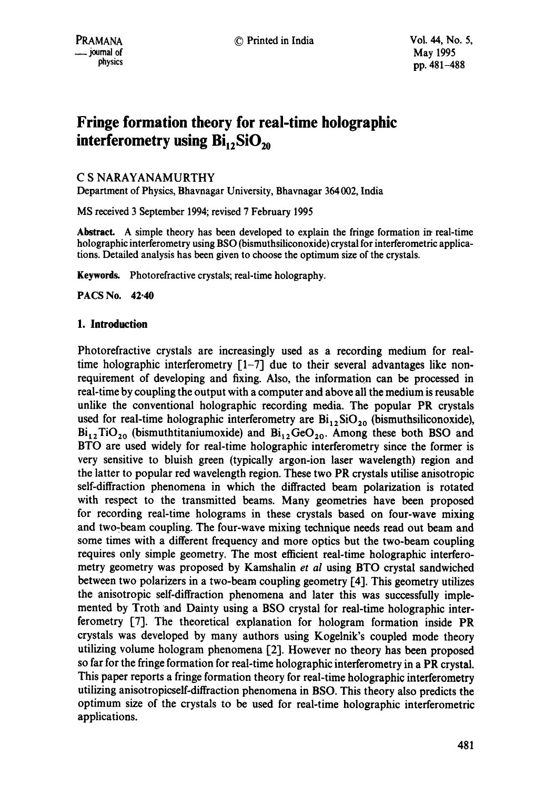# **Fringe formation theory for real-time holographic interferometry using Bi<sub>12</sub>SiO<sub>20</sub>**

# C S NARAYANAMURTHY

Department of Physics, Bhavnagar University, Bhavnagar 364002, India

MS received 3 September 1994; revised 7 February 1995

Abstract. A simple theory has been developed to explain the fringe formation in real-time holographic interferometry using BSO (bismuthsiliconoxide) crystal for intefferometric applications. Detailed analysis has been given to choose the optimum size of the crystals.

Keywords. Photorefractive crystals; real-time holography.

**PACS No. 42.40** 

### **1. Introduction**

Photorefractive crystals are increasingly used as a recording medium for realtime holographic interferometry  $\lceil 1-7 \rceil$  due to their several advantages like nonrequirement of developing and fixing. Also, the information can be processed in real-time by coupling the output with a computer and above all the medium is reusable unlike the conventional holographic recording media. The popular PR crystals used for real-time holographic interferometry are  $Bi_{12}SiO_{20}$  (bismuthsiliconoxide),  $Bi_{12}TiO_{20}$  (bismuthtitaniumoxide) and  $Bi_{12}GeO_{20}$ . Among these both BSO and BTO are used widely for real-time holographic interferometry since the former is very sensitive to bluish green (typically argon-ion laser wavelength) region and the latter to popular red wavelength region. These two PR crystals utilise anisotropic self-diffraction phenomena in which the diffracted beam polarization is rotated with respect to the transmitted beams. Many geometries have been proposed for recording real-time holograms in these crystals based on four-wave mixing and two-beam coupling. The four-wave mixing technique needs read out beam and some times with a different frequency and more optics but the two-beam coupling requires only simple geometry. The most efficient real-time holographic interferometry geometry was proposed by Kamshalin *et al* using BTO crystal sandwiched between two polarizers in a two-beam coupling geometry [4]. This geometry utilizes the anisotropic self-diffraction phenomena and later this was successfully implemented by Troth and Dainty using a BSO crystal for real-time holographic interferometry [7]. The theoretical explanation for hologram formation inside PR crystals was developed by many authors using Kogelnik's coupled mode theory utilizing volume hologram phenomena [21. However no theory has been proposed so far for the fringe formation for real-time holographic interferometry in a PR crystal. This paper reports a fringe formation theory for real-time holographic interferometry utilizing anisotropicself-diffraction phenomena in BSO. This theory also predicts the optimum size of the crystals to be used for real-time holographic interferometric applications.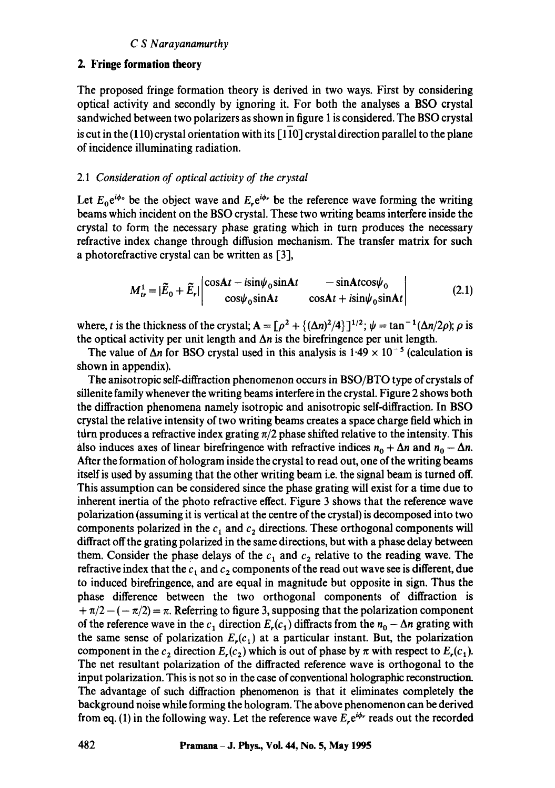## *C S Narayanamurthy*

## **2. Fringe formation theory**

The proposed fringe formation theory is derived in two ways. First by considering optical activity and secondly by ignoring it. For both the analyses a BSO crystal sandwiched between two polarizers as shown in figure 1 is considered. The BSO crystal is cut in the  $(110)$  crystal orientation with its  $[110]$  crystal direction parallel to the plane of incidence illuminating radiation.

#### *2.1 Consideration of optical activity of the crystal*

Let  $E_0 e^{i\phi}$  be the object wave and  $E_r e^{i\phi_r}$  be the reference wave forming the writing beams which incident on the BSO crystal. These two writing beams interfere inside the crystal to form the necessary phase grating which in turn produces the necessary refractive index change through diffusion mechanism. The transfer matrix for such a photorefractive crystal can be written as [3],

$$
M_{tr}^1 = |\tilde{E}_0 + \tilde{E}_r| \begin{vmatrix} \cos At - i\sin\psi_0 \sin At & -\sin At \cos\psi_0 \\ \cos\psi_0 \sin At & \cos At + i\sin\psi_0 \sin At \end{vmatrix}
$$
 (2.1)

where, t is the thickness of the crystal;  $A = [\rho^2 + {\{\Delta n\}^2}/{4}\}]^{1/2}$ ;  $\psi = \tan^{-1}(\Delta n/2\rho)$ ;  $\rho$  is the optical activity per unit length and  $\Delta n$  is the birefringence per unit length.

The value of  $\Delta n$  for BSO crystal used in this analysis is 1.49  $\times$  10<sup>-5</sup> (calculation is shown in appendix).

The anisotropic self-diffraction phenomenon occurs in BSO/BTO type of crystals of sillenite family whenever the writing beams interfere in the crystal. Figure 2 shows both the diffraction phenomena namely isotropic and anisotropic self-diffraction. In BSO crystal the relative intensity of two writing beams creates a space charge field which in turn produces a refractive index grating  $\pi/2$  phase shifted relative to the intensity. This also induces axes of linear birefringence with refractive indices  $n_0 + \Delta n$  and  $n_0 - \Delta n$ . After the formation of hologram inside the crystal to read out, one of the writing beams itself is used by assuming that the other writing beam i.e. the signal beam is turned off. This assumption can be considered since the phase grating will exist for a time due to inherent inertia of the photo refractive effect. Figure 3 shows that the reference wave polarization (assuming it is vertical at the centre of the crystal) is decomposed into two components polarized in the  $c_1$  and  $c_2$  directions. These orthogonal components will diffract off the grating polarized in the same directions, but with a phase delay between them. Consider the phase delays of the  $c_1$  and  $c_2$  relative to the reading wave. The refractive index that the  $c_1$  and  $c_2$  components of the read out wave see is different, due to induced birefringence, and are equal in magnitude but opposite in sign. Thus the phase difference between the two orthogonal components of diffraction is  $+\pi/2 - (-\pi/2) = \pi$ . Referring to figure 3, supposing that the polarization component of the reference wave in the  $c_1$  direction  $E_r(c_1)$  diffracts from the  $n_0 - \Delta n$  grating with the same sense of polarization  $E_r(c_1)$  at a particular instant. But, the polarization component in the  $c_2$  direction  $E_r(c_2)$  which is out of phase by  $\pi$  with respect to  $E_r(c_1)$ . The net resultant polarization of the diffracted reference wave is orthogonal to the input polarization. This is not so in the case of conventional holographic reconstruction. The advantage of such diffraction phenomenon is that it eliminates completely the background noise while forming the hologram. The above phenomenon can be derived from eq. (1) in the following way. Let the reference wave  $E_{\rm c} e^{i\phi r}$  reads out the recorded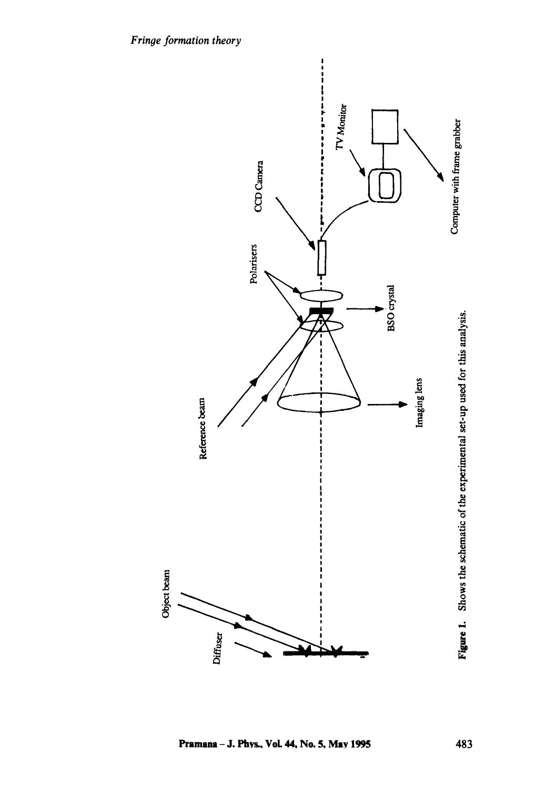

Pramana - J. Phys., Vol. 44, No. 5, May 1995 483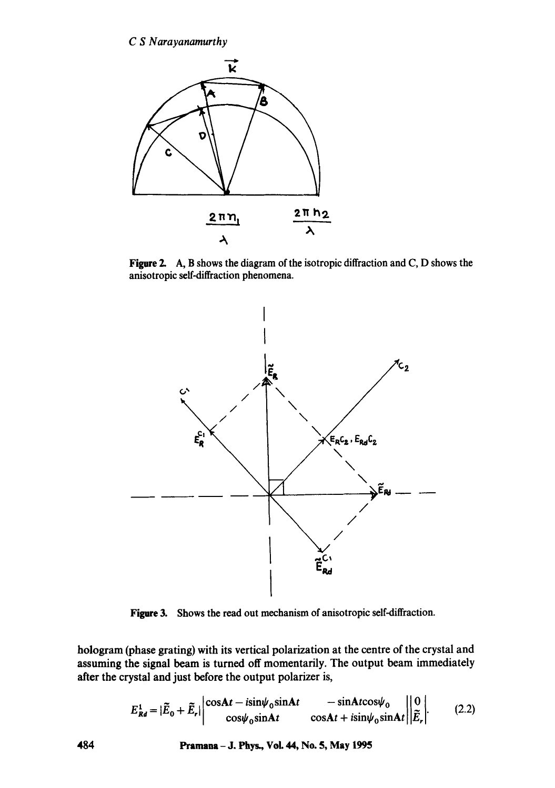

**Figure** 2. A, B shows the diagram of the isotropic diffraction and C, D shows the anisotropic self-diffraction phenomena.



**Figure 3. Shows the read out mechanism of anisotropic self-diffraction.** 

hologram (phase grating) with its vertical polarization at the centre of the crystal and assuming the signal beam is turned off momentarily. The output beam immediately after the crystal and just before the output polarizer is,

$$
E_{\mathbf{R}d}^1 = |\widetilde{E}_0 + \widetilde{E}_r| \begin{vmatrix} \cos At - i\sin\psi_0 \sin At & -\sin At \cos\psi_0 \\ \cos\psi_0 \sin At & \cos At + i\sin\psi_0 \sin At \end{vmatrix} \begin{vmatrix} 0 \\ \widetilde{E}_r \end{vmatrix}.
$$
 (2.2)

**484 Pramana- J. Phys., VoL 44, No. 5, May 1995**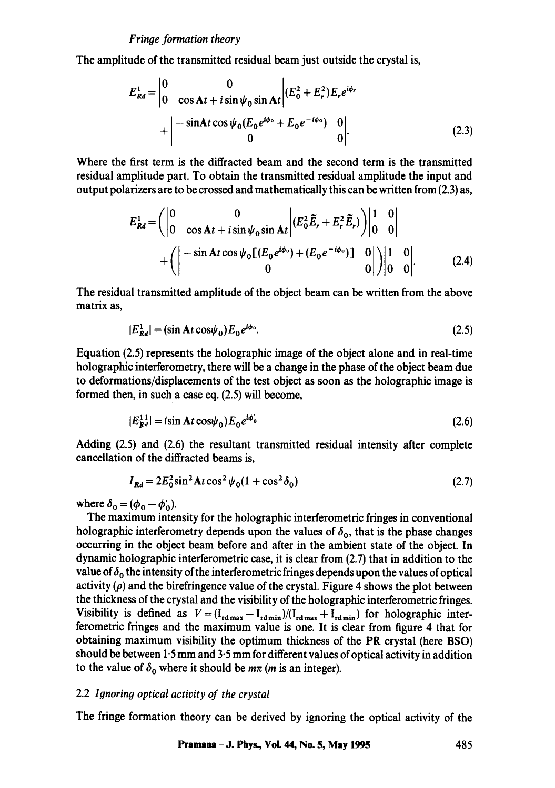The amplitude of the transmitted residual beam just outside the crystal is,

$$
E_{Rd}^{1} = \begin{vmatrix} 0 & 0 \\ 0 & \cos At + i \sin \psi_0 \sin At \end{vmatrix} (E_0^{2} + E_r^{2}) E_r e^{i\phi_r}
$$
  
+ 
$$
\begin{vmatrix} -\sin At \cos \psi_0 (E_0 e^{i\phi_0} + E_0 e^{-i\phi_0}) & 0 \\ 0 & 0 \end{vmatrix}.
$$
 (2.3)

Where the first term is the diffracted beam and the second term is the transmitted **residual amplitude part. To obtain the transmitted residual amplitude the input and**  output polarizers are to be crossed and mathematically this can be written from (2.3) as,

$$
E_{Rd}^{1} = \left( \begin{vmatrix} 0 & 0 \\ 0 & \cos At + i \sin \psi_0 \sin At \end{vmatrix} (E_0^2 \tilde{E}_r + E_r^2 \tilde{E}_r) \right) \begin{vmatrix} 1 & 0 \\ 0 & 0 \end{vmatrix}
$$
  
+ 
$$
\left( \begin{vmatrix} -\sin At \cos \psi_0 [ (E_0 e^{i\phi_0}) + (E_0 e^{-i\phi_0}) ] & 0 \\ 0 & 0 \end{vmatrix} \right) \begin{vmatrix} 1 & 0 \\ 0 & 0 \end{vmatrix}.
$$
 (2.4)

The residual transmitted amplitude of the object beam can be written from the above matrix as,

$$
|E_{\mathcal{R}d}^1| = (\sin \mathbf{A}t \cos \psi_0) E_0 e^{i\phi_0}.
$$
 (2.5)

Equation (2.5) represents the holographic image of the object alone and in real-time holographic interferometry, there will be a change in the phase of the object beam due to deformations/displacements of the test object as soon as the holographic image is formed then, in such a case eq. (2.5) will become,

$$
|E_{\mathbf{R}^d}^{11}| = (\sin \mathbf{A} t \cos \psi_0) E_0 e^{i\phi'_0}
$$
 (2.6)

Adding (2.5) and (2.6) the resultant transmitted residual intensity after complete cancellation of the diffracted beams is,

$$
I_{\mathbf{R}d} = 2E_0^2 \sin^2 \mathbf{A} t \cos^2 \psi_0 (1 + \cos^2 \delta_0)
$$
 (2.7)

where  $\delta_0 = (\phi_0 - \phi'_0)$ .

The maximum intensity for the holographic interferometric fringes in conventional holographic interferometry depends upon the values of  $\delta_0$ , that is the phase changes occurring in the object beam before and after in the ambient state of the object. In dynamic holographic interferometric case, it is clear from (2.7) that in addition to the value of  $\delta_0$  the intensity of the interferometric fringes depends upon the values of optical activity  $(\rho)$  and the birefringence value of the crystal. Figure 4 shows the plot between the thickness of the crystal and the visibility of the holographic interferometric fringes. Visibility is defined as  $V=(I_{rd,max} - I_{rdmin})/(I_{rdmax} + I_{rdmin})$  for holographic interferometric fringes and the maximum value is one. It is clear from figure 4 that for obtaining maximum visibility the optimum thickness of the PR crystal (here BSO) should be between  $1.5$  mm and  $3.5$  mm for different values of optical activity in addition to the value of  $\delta_0$  where it should be  $m\pi$  (*m* is an integer).

# 2.2 *Ignoring optical activity of the crystal*

The fringe formation theory can be derived by ignoring the optical activity of the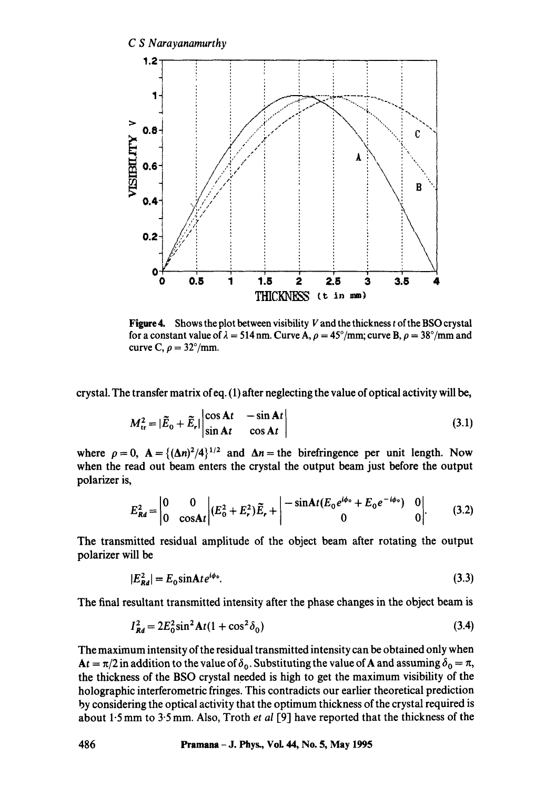

**Figure4.** Shows the plot between visibility V and the thickness t of the BSO crystal for a constant value of  $\lambda = 514$  nm. Curve A,  $\rho = 45^{\circ}/\text{mm}$ ; curve B,  $\rho = 38^{\circ}/\text{mm}$  and curve C,  $\rho = 32^{\circ}/\text{mm}$ .

crystal. The transfer matrix of eq. (1) after neglecting the value of optical activity will be,

$$
M_{\rm tr}^2 = |\widetilde{E}_0 + \widetilde{E}_r| \begin{vmatrix} \cos At & -\sin At \\ \sin At & \cos At \end{vmatrix} \tag{3.1}
$$

where  $\rho = 0$ ,  $A = \{(\Delta n)^2/4\}^{1/2}$  and  $\Delta n =$  the birefringence per unit length. Now when the read out beam enters the crystal the output beam just before the output polarizer is,

$$
E_{\mathcal{R}d}^{2} = \begin{vmatrix} 0 & 0 \\ 0 & \cos \mathbf{A}t \end{vmatrix} (E_{0}^{2} + E_{r}^{2}) \widetilde{E}_{r} + \begin{vmatrix} -\sin \mathbf{A}t (E_{0} e^{i\phi_{0}} + E_{0} e^{-i\phi_{0}}) & 0 \\ 0 & 0 \end{vmatrix}.
$$
 (3.2)

The transmitted residual amplitude of the object beam after rotating the output polarizer will be

$$
|E_{\mathcal{R}d}^2| = E_0 \sin \! \mathbf{A} t e^{i\phi_0}.\tag{3.3}
$$

The final resultant transmitted intensity after the phase changes in the object beam is

$$
I_{\mathcal{R}d}^2 = 2E_0^2 \sin^2 \mathbf{A}t (1 + \cos^2 \delta_0) \tag{3.4}
$$

The maximum intensity of the residual transmitted intensity can be obtained only when  $At = \pi/2$  in addition to the value of  $\delta_0$ . Substituting the value of A and assuming  $\delta_0 = \pi$ , the thickness of the BSO crystal needed is high to get the maximum visibility of the holographic interferometric fringes. This contradicts our earlier theoretical prediction by considering the optical activity that the optimum thickness of the crystal required is about 1.5 mm to 3.5 mm. Also, Troth *et al* [9] have reported that the thickness of the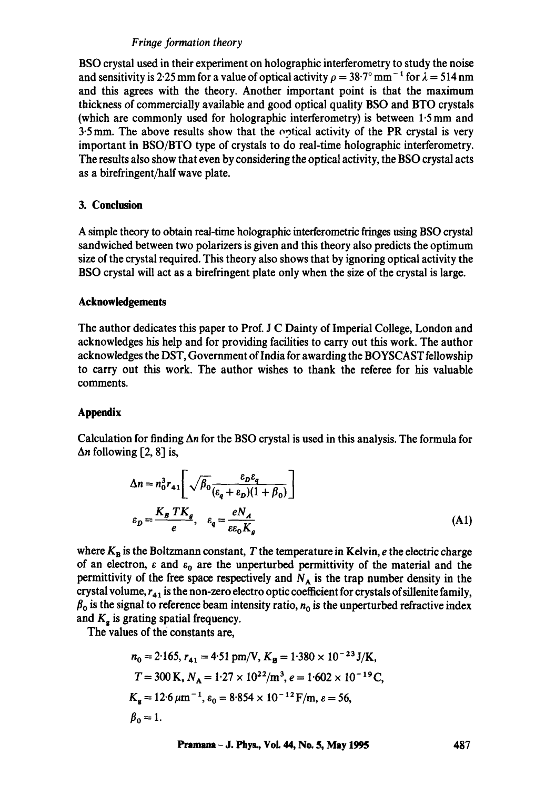# *Fringe formation theory*

BSO crystal used in their experiment on holographic interferometry to study the noise and sensitivity is 2.25 mm for a value of optical activity  $\rho = 38.7^\circ$  mm<sup>-1</sup> for  $\lambda = 514$  nm and this agrees with the theory. Another important point is that the maximum thickness of commercially available and good optical quality BSO and BTO crystals (which are commonly used for holographic interferometry) is between 1.5 mm and  $3.5$  mm. The above results show that the optical activity of the PR crystal is very important in BSO/BTO type of crystals to do real-time holographic interferometry. The results also show that even by considering the optical activity, the BSO crystal acts as a birefringent/half wave plate.

## **3. Conclusion**

A simple theory to obtain real-time holographic interferometric fringes using BSO crystal sandwiched between two polarizers is given and this theory also predicts the optimum size of the crystal required. This theory also shows that by ignoring optical activity the BSO crystal will act as a birefringent plate only when the size of the crystal is large.

### **Acknowledgements**

The author dedicates this paper to Prof. J C Dainty of Imperial College, London and acknowledges his help and for providing facilities to carry out this work. The author acknowledges the DST, Government of India for awarding the BOYSCAST fellowship to carry out this work. The author wishes to thank the referee for his valuable comments.

### **Appendix**

Calculation for finding  $\Delta n$  for the BSO crystal is used in this analysis. The formula for  $\Delta n$  following [2, 8] is,

$$
\Delta n = n_0^3 r_{41} \left[ \sqrt{\beta_0} \frac{\varepsilon_D \varepsilon_q}{(\varepsilon_q + \varepsilon_D)(1 + \beta_0)} \right]
$$
  

$$
\varepsilon_D = \frac{K_B T K_g}{e}, \quad \varepsilon_q = \frac{e N_A}{\varepsilon \varepsilon_0 K_g} \tag{A1}
$$

where  $K_B$  is the Boltzmann constant, T the temperature in Kelvin, e the electric charge of an electron,  $\varepsilon$  and  $\varepsilon_0$  are the unperturbed permittivity of the material and the permittivity of the free space respectively and  $N_A$  is the trap number density in the crystal volume,  $r_{41}$  is the non-zero electro optic coefficient for crystals of sillenite family,  $\beta_0$  is the signal to reference beam intensity ratio,  $n_0$  is the unperturbed refractive index and  $K<sub>e</sub>$  is grating spatial frequency.

The values of the constants are,

$$
n_0 = 2.165, r_{41} = 4.51 \text{ pm/V}, K_B = 1.380 \times 10^{-23} \text{ J/K},
$$
  
\n
$$
T = 300 \text{ K}, N_A = 1.27 \times 10^{22} / \text{m}^3, e = 1.602 \times 10^{-19} \text{ C},
$$
  
\n
$$
K_g = 12.6 \ \mu \text{m}^{-1}, \varepsilon_0 = 8.854 \times 10^{-12} \text{ F/m}, \varepsilon = 56,
$$
  
\n
$$
\beta_0 = 1.
$$